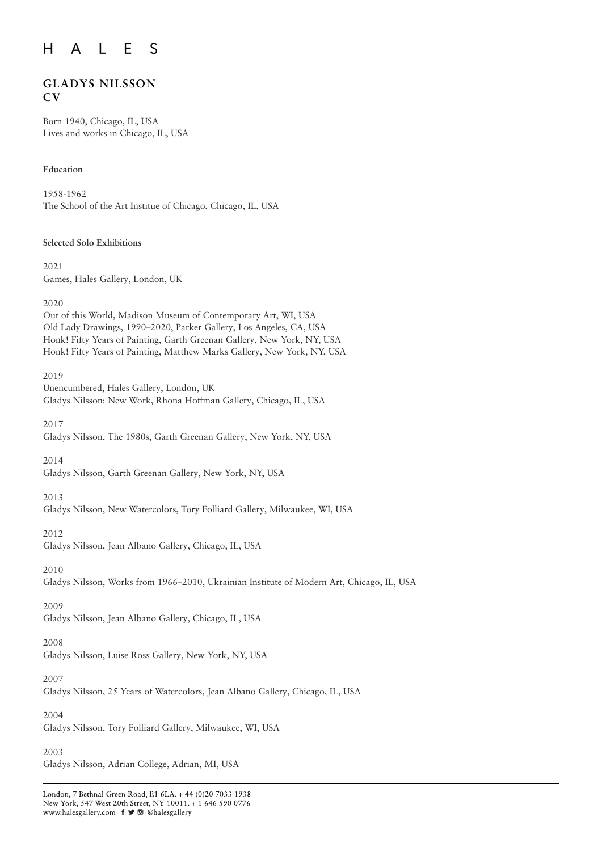#### $E$  $H$  $\bigwedge$  $\mathsf{L}$ S

# **GLADYS NILSSON CV**

Born 1940, Chicago, IL, USA Lives and works in Chicago, IL, USA

# **Education**

1958-1962 The School of the Art Institue of Chicago, Chicago, IL, USA

# **Selected Solo Exhibitions**

2021 Games, Hales Gallery, London, UK

2020

Out of this World, Madison Museum of Contemporary Art, WI, USA Old Lady Drawings, 1990–2020, Parker Gallery, Los Angeles, CA, USA Honk! Fifty Years of Painting, Garth Greenan Gallery, New York, NY, USA Honk! Fifty Years of Painting, Matthew Marks Gallery, New York, NY, USA

2019 Unencumbered, Hales Gallery, London, UK Gladys Nilsson: New Work, Rhona Hoffman Gallery, Chicago, IL, USA

2017

Gladys Nilsson, The 1980s, Garth Greenan Gallery, New York, NY, USA

2014

Gladys Nilsson, Garth Greenan Gallery, New York, NY, USA

# 2013

Gladys Nilsson, New Watercolors, Tory Folliard Gallery, Milwaukee, WI, USA

2012

Gladys Nilsson, Jean Albano Gallery, Chicago, IL, USA

2010

Gladys Nilsson, Works from 1966–2010, Ukrainian Institute of Modern Art, Chicago, IL, USA

# 2009

Gladys Nilsson, Jean Albano Gallery, Chicago, IL, USA

# 2008

Gladys Nilsson, Luise Ross Gallery, New York, NY, USA

# 2007

Gladys Nilsson, 25 Years of Watercolors, Jean Albano Gallery, Chicago, IL, USA

# 2004

Gladys Nilsson, Tory Folliard Gallery, Milwaukee, WI, USA

2003

Gladys Nilsson, Adrian College, Adrian, MI, USA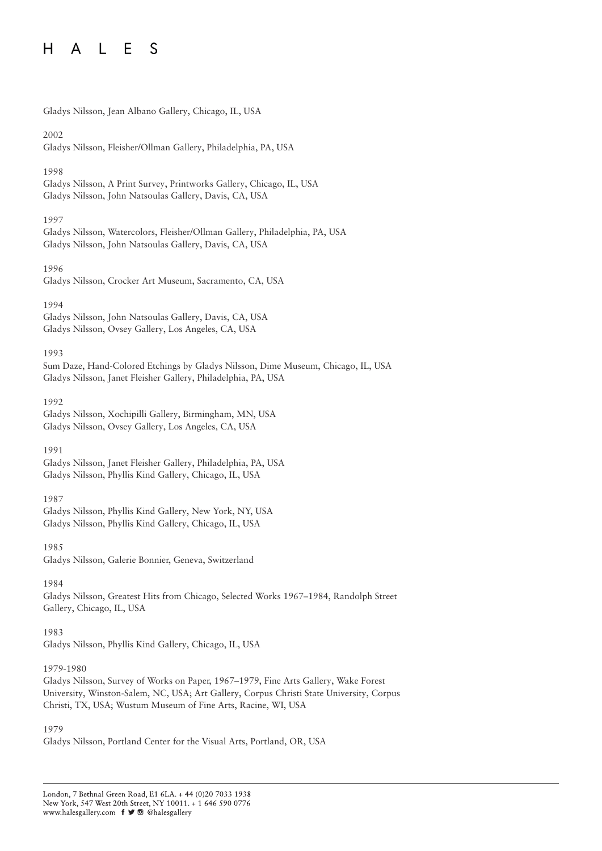#### $H$  $E$  $\mathbf{L}$ S  $\mathsf{A}$

|  | Gladys Nilsson, Jean Albano Gallery, Chicago, IL, USA |  |  |
|--|-------------------------------------------------------|--|--|
|  |                                                       |  |  |

2002

Gladys Nilsson, Fleisher/Ollman Gallery, Philadelphia, PA, USA

# 1998

Gladys Nilsson, A Print Survey, Printworks Gallery, Chicago, IL, USA Gladys Nilsson, John Natsoulas Gallery, Davis, CA, USA

# 1997

Gladys Nilsson, Watercolors, Fleisher/Ollman Gallery, Philadelphia, PA, USA Gladys Nilsson, John Natsoulas Gallery, Davis, CA, USA

1996

Gladys Nilsson, Crocker Art Museum, Sacramento, CA, USA

1994

Gladys Nilsson, John Natsoulas Gallery, Davis, CA, USA Gladys Nilsson, Ovsey Gallery, Los Angeles, CA, USA

# 1993

Sum Daze, Hand-Colored Etchings by Gladys Nilsson, Dime Museum, Chicago, IL, USA Gladys Nilsson, Janet Fleisher Gallery, Philadelphia, PA, USA

1992 Gladys Nilsson, Xochipilli Gallery, Birmingham, MN, USA Gladys Nilsson, Ovsey Gallery, Los Angeles, CA, USA

1991

Gladys Nilsson, Janet Fleisher Gallery, Philadelphia, PA, USA Gladys Nilsson, Phyllis Kind Gallery, Chicago, IL, USA

1987

Gladys Nilsson, Phyllis Kind Gallery, New York, NY, USA Gladys Nilsson, Phyllis Kind Gallery, Chicago, IL, USA

1985 Gladys Nilsson, Galerie Bonnier, Geneva, Switzerland

1984

Gladys Nilsson, Greatest Hits from Chicago, Selected Works 1967–1984, Randolph Street Gallery, Chicago, IL, USA

1983 Gladys Nilsson, Phyllis Kind Gallery, Chicago, IL, USA

# 1979-1980

Gladys Nilsson, Survey of Works on Paper, 1967–1979, Fine Arts Gallery, Wake Forest University, Winston-Salem, NC, USA; Art Gallery, Corpus Christi State University, Corpus Christi, TX, USA; Wustum Museum of Fine Arts, Racine, WI, USA

# 1979

Gladys Nilsson, Portland Center for the Visual Arts, Portland, OR, USA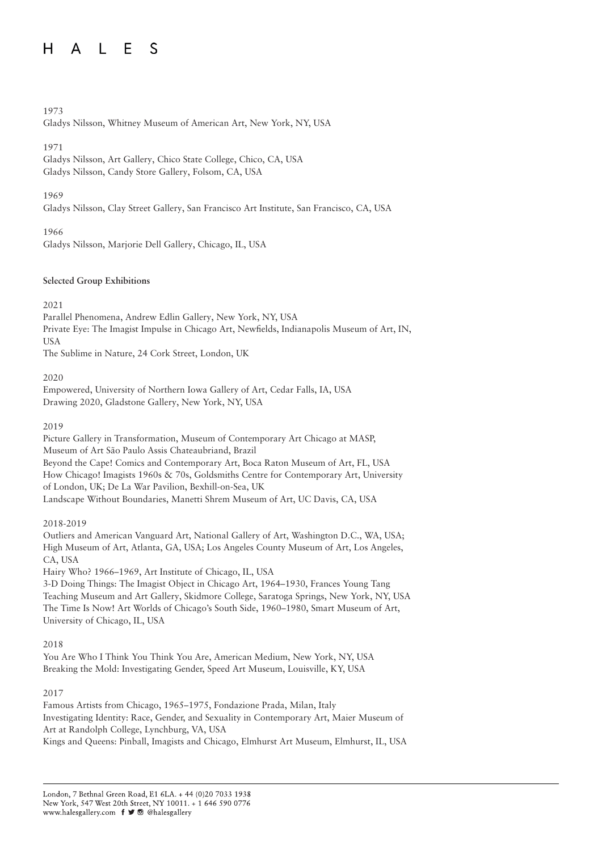#### L E  $H$ S  $\mathsf{A}$

# 1973

Gladys Nilsson, Whitney Museum of American Art, New York, NY, USA

# 1971

Gladys Nilsson, Art Gallery, Chico State College, Chico, CA, USA Gladys Nilsson, Candy Store Gallery, Folsom, CA, USA

# 1969

Gladys Nilsson, Clay Street Gallery, San Francisco Art Institute, San Francisco, CA, USA

1966

Gladys Nilsson, Marjorie Dell Gallery, Chicago, IL, USA

# **Selected Group Exhibitions**

2021

Parallel Phenomena, Andrew Edlin Gallery, New York, NY, USA Private Eye: The Imagist Impulse in Chicago Art, Newfields, Indianapolis Museum of Art, IN, USA

The Sublime in Nature, 24 Cork Street, London, UK

2020

Empowered, University of Northern Iowa Gallery of Art, Cedar Falls, IA, USA Drawing 2020, Gladstone Gallery, New York, NY, USA

2019

Picture Gallery in Transformation, Museum of Contemporary Art Chicago at MASP, Museum of Art São Paulo Assis Chateaubriand, Brazil Beyond the Cape! Comics and Contemporary Art, Boca Raton Museum of Art, FL, USA How Chicago! Imagists 1960s & 70s, Goldsmiths Centre for Contemporary Art, University of London, UK; De La War Pavilion, Bexhill-on-Sea, UK Landscape Without Boundaries, Manetti Shrem Museum of Art, UC Davis, CA, USA

# 2018-2019

Outliers and American Vanguard Art, National Gallery of Art, Washington D.C., WA, USA; High Museum of Art, Atlanta, GA, USA; Los Angeles County Museum of Art, Los Angeles, CA, USA

Hairy Who? 1966–1969, Art Institute of Chicago, IL, USA

3-D Doing Things: The Imagist Object in Chicago Art, 1964–1930, Frances Young Tang Teaching Museum and Art Gallery, Skidmore College, Saratoga Springs, New York, NY, USA The Time Is Now! Art Worlds of Chicago's South Side, 1960–1980, Smart Museum of Art, University of Chicago, IL, USA

# 2018

You Are Who I Think You Think You Are, American Medium, New York, NY, USA Breaking the Mold: Investigating Gender, Speed Art Museum, Louisville, KY, USA

# 2017

Famous Artists from Chicago, 1965–1975, Fondazione Prada, Milan, Italy Investigating Identity: Race, Gender, and Sexuality in Contemporary Art, Maier Museum of Art at Randolph College, Lynchburg, VA, USA Kings and Queens: Pinball, Imagists and Chicago, Elmhurst Art Museum, Elmhurst, IL, USA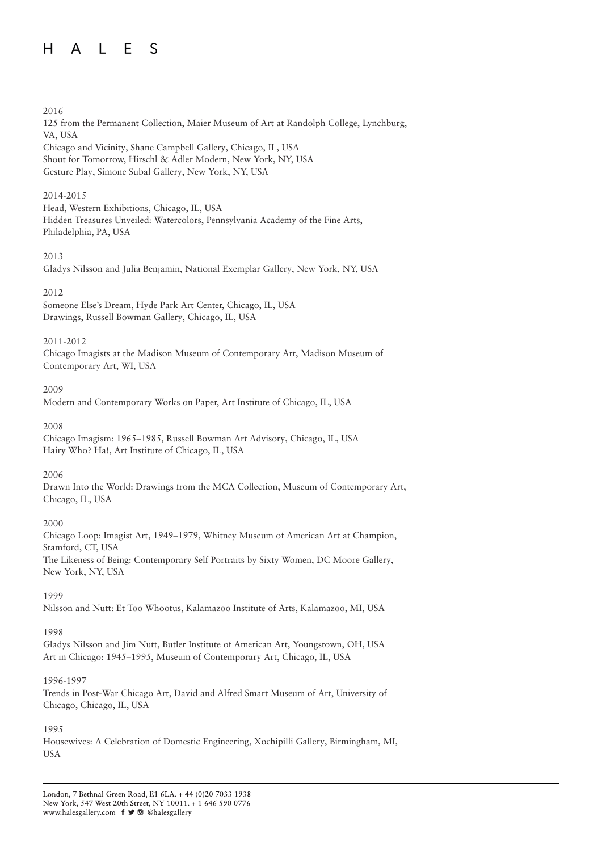#### $H$  $A \mid F$  $\mathcal{S}$

### 2016

125 from the Permanent Collection, Maier Museum of Art at Randolph College, Lynchburg, VA, USA Chicago and Vicinity, Shane Campbell Gallery, Chicago, IL, USA Shout for Tomorrow, Hirschl & Adler Modern, New York, NY, USA Gesture Play, Simone Subal Gallery, New York, NY, USA

### 2014-2015

Head, Western Exhibitions, Chicago, IL, USA Hidden Treasures Unveiled: Watercolors, Pennsylvania Academy of the Fine Arts, Philadelphia, PA, USA

### 2013

Gladys Nilsson and Julia Benjamin, National Exemplar Gallery, New York, NY, USA

### 2012

Someone Else's Dream, Hyde Park Art Center, Chicago, IL, USA Drawings, Russell Bowman Gallery, Chicago, IL, USA

#### 2011-2012

Chicago Imagists at the Madison Museum of Contemporary Art, Madison Museum of Contemporary Art, WI, USA

### 2009

Modern and Contemporary Works on Paper, Art Institute of Chicago, IL, USA

2008

Chicago Imagism: 1965–1985, Russell Bowman Art Advisory, Chicago, IL, USA Hairy Who? Ha!, Art Institute of Chicago, IL, USA

2006

Drawn Into the World: Drawings from the MCA Collection, Museum of Contemporary Art, Chicago, IL, USA

#### 2000

Chicago Loop: Imagist Art, 1949–1979, Whitney Museum of American Art at Champion, Stamford, CT, USA The Likeness of Being: Contemporary Self Portraits by Sixty Women, DC Moore Gallery, New York, NY, USA

1999

Nilsson and Nutt: Et Too Whootus, Kalamazoo Institute of Arts, Kalamazoo, MI, USA

# 1998

Gladys Nilsson and Jim Nutt, Butler Institute of American Art, Youngstown, OH, USA Art in Chicago: 1945–1995, Museum of Contemporary Art, Chicago, IL, USA

# 1996-1997

Trends in Post-War Chicago Art, David and Alfred Smart Museum of Art, University of Chicago, Chicago, IL, USA

# 1995

Housewives: A Celebration of Domestic Engineering, Xochipilli Gallery, Birmingham, MI, USA

London, 7 Bethnal Green Road, E1 6LA. + 44 (0)20 7033 1938 New York, 547 West 20th Street, NY 10011. + 1 646 590 0776 www.halesgallery.com f J @ @halesgallery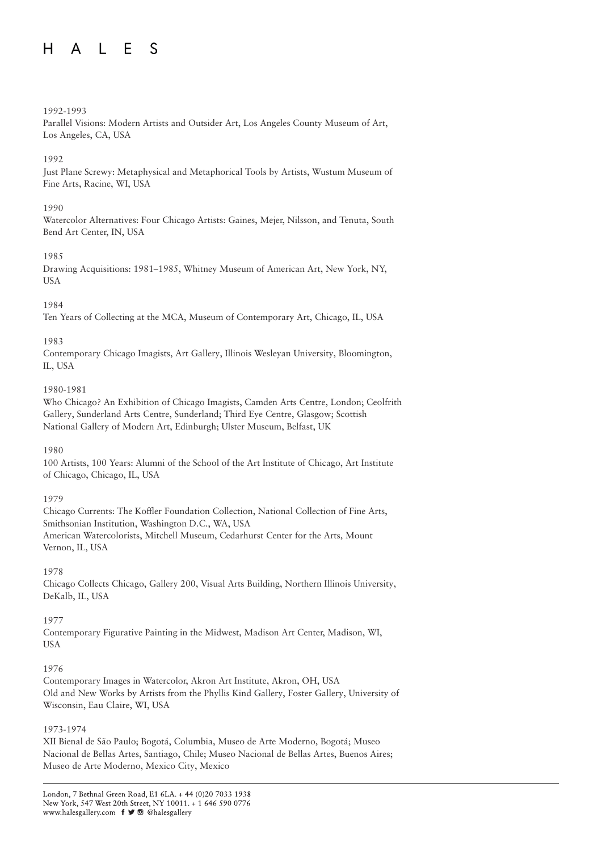#### $\blacksquare$  $H$  $\mathsf{A}$ S

### 1992-1993

Parallel Visions: Modern Artists and Outsider Art, Los Angeles County Museum of Art, Los Angeles, CA, USA

# 1992

Just Plane Screwy: Metaphysical and Metaphorical Tools by Artists, Wustum Museum of Fine Arts, Racine, WI, USA

#### 1990

Watercolor Alternatives: Four Chicago Artists: Gaines, Mejer, Nilsson, and Tenuta, South Bend Art Center, IN, USA

### 1985

Drawing Acquisitions: 1981–1985, Whitney Museum of American Art, New York, NY, USA

# 1984

Ten Years of Collecting at the MCA, Museum of Contemporary Art, Chicago, IL, USA

### 1983

Contemporary Chicago Imagists, Art Gallery, Illinois Wesleyan University, Bloomington, IL, USA

### 1980-1981

Who Chicago? An Exhibition of Chicago Imagists, Camden Arts Centre, London; Ceolfrith Gallery, Sunderland Arts Centre, Sunderland; Third Eye Centre, Glasgow; Scottish National Gallery of Modern Art, Edinburgh; Ulster Museum, Belfast, UK

# 1980

100 Artists, 100 Years: Alumni of the School of the Art Institute of Chicago, Art Institute of Chicago, Chicago, IL, USA

# 1979

Chicago Currents: The Koffler Foundation Collection, National Collection of Fine Arts, Smithsonian Institution, Washington D.C., WA, USA American Watercolorists, Mitchell Museum, Cedarhurst Center for the Arts, Mount Vernon, IL, USA

# 1978

Chicago Collects Chicago, Gallery 200, Visual Arts Building, Northern Illinois University, DeKalb, IL, USA

# 1977

Contemporary Figurative Painting in the Midwest, Madison Art Center, Madison, WI, USA

# 1976

Contemporary Images in Watercolor, Akron Art Institute, Akron, OH, USA Old and New Works by Artists from the Phyllis Kind Gallery, Foster Gallery, University of Wisconsin, Eau Claire, WI, USA

# 1973-1974

XII Bienal de São Paulo; Bogotá, Columbia, Museo de Arte Moderno, Bogotá; Museo Nacional de Bellas Artes, Santiago, Chile; Museo Nacional de Bellas Artes, Buenos Aires; Museo de Arte Moderno, Mexico City, Mexico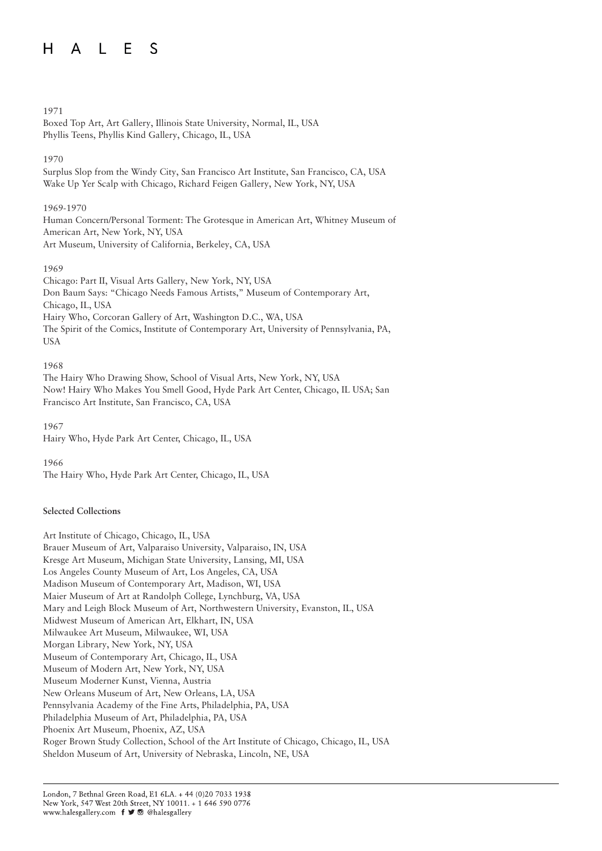#### $\blacksquare$  $H$  $\mathcal{S}$  $\mathsf{A}$

# 1971

Boxed Top Art, Art Gallery, Illinois State University, Normal, IL, USA Phyllis Teens, Phyllis Kind Gallery, Chicago, IL, USA

# 1970

Surplus Slop from the Windy City, San Francisco Art Institute, San Francisco, CA, USA Wake Up Yer Scalp with Chicago, Richard Feigen Gallery, New York, NY, USA

# 1969-1970

Human Concern/Personal Torment: The Grotesque in American Art, Whitney Museum of American Art, New York, NY, USA Art Museum, University of California, Berkeley, CA, USA

# 1969

Chicago: Part II, Visual Arts Gallery, New York, NY, USA Don Baum Says: "Chicago Needs Famous Artists," Museum of Contemporary Art, Chicago, IL, USA Hairy Who, Corcoran Gallery of Art, Washington D.C., WA, USA The Spirit of the Comics, Institute of Contemporary Art, University of Pennsylvania, PA, USA

# 1968

The Hairy Who Drawing Show, School of Visual Arts, New York, NY, USA Now! Hairy Who Makes You Smell Good, Hyde Park Art Center, Chicago, IL USA; San Francisco Art Institute, San Francisco, CA, USA

1967 Hairy Who, Hyde Park Art Center, Chicago, IL, USA

1966

The Hairy Who, Hyde Park Art Center, Chicago, IL, USA

# **Selected Collections**

Art Institute of Chicago, Chicago, IL, USA Brauer Museum of Art, Valparaiso University, Valparaiso, IN, USA Kresge Art Museum, Michigan State University, Lansing, MI, USA Los Angeles County Museum of Art, Los Angeles, CA, USA Madison Museum of Contemporary Art, Madison, WI, USA Maier Museum of Art at Randolph College, Lynchburg, VA, USA Mary and Leigh Block Museum of Art, Northwestern University, Evanston, IL, USA Midwest Museum of American Art, Elkhart, IN, USA Milwaukee Art Museum, Milwaukee, WI, USA Morgan Library, New York, NY, USA Museum of Contemporary Art, Chicago, IL, USA Museum of Modern Art, New York, NY, USA Museum Moderner Kunst, Vienna, Austria New Orleans Museum of Art, New Orleans, LA, USA Pennsylvania Academy of the Fine Arts, Philadelphia, PA, USA Philadelphia Museum of Art, Philadelphia, PA, USA Phoenix Art Museum, Phoenix, AZ, USA Roger Brown Study Collection, School of the Art Institute of Chicago, Chicago, IL, USA Sheldon Museum of Art, University of Nebraska, Lincoln, NE, USA